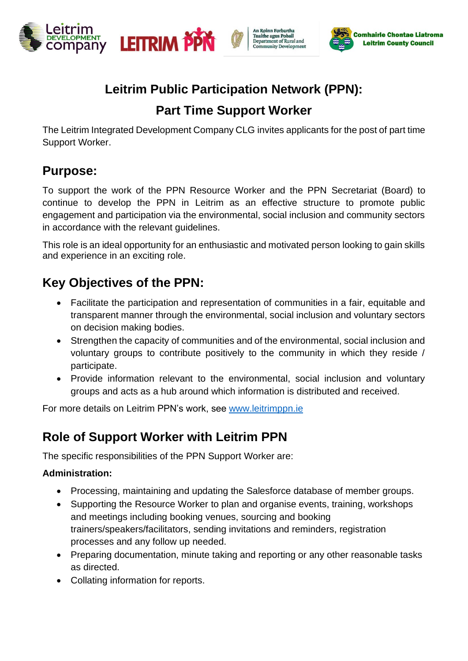



# **Leitrim Public Participation Network (PPN):**

An Roinn Forbartha<br>Tuaithe agus Pobail<br>Department of Rural and<br>Community Development

Community Development

# **Part Time Support Worker**

The Leitrim Integrated Development Company CLG invites applicants for the post of part time Support Worker.

## **Purpose:**

To support the work of the PPN Resource Worker and the PPN Secretariat (Board) to continue to develop the PPN in Leitrim as an effective structure to promote public engagement and participation via the environmental, social inclusion and community sectors in accordance with the relevant guidelines.

This role is an ideal opportunity for an enthusiastic and motivated person looking to gain skills and experience in an exciting role.

# **Key Objectives of the PPN:**

- Facilitate the participation and representation of communities in a fair, equitable and transparent manner through the environmental, social inclusion and voluntary sectors on decision making bodies.
- Strengthen the capacity of communities and of the environmental, social inclusion and voluntary groups to contribute positively to the community in which they reside / participate.
- Provide information relevant to the environmental, social inclusion and voluntary groups and acts as a hub around which information is distributed and received.

For more details on Leitrim PPN's work, see [www.leitrimppn.ie](http://www.leitrimppn.ie/)

# **Role of Support Worker with Leitrim PPN**

The specific responsibilities of the PPN Support Worker are:

### **Administration:**

- Processing, maintaining and updating the Salesforce database of member groups.
- Supporting the Resource Worker to plan and organise events, training, workshops and meetings including booking venues, sourcing and booking trainers/speakers/facilitators, sending invitations and reminders, registration processes and any follow up needed.
- Preparing documentation, minute taking and reporting or any other reasonable tasks as directed.
- Collating information for reports.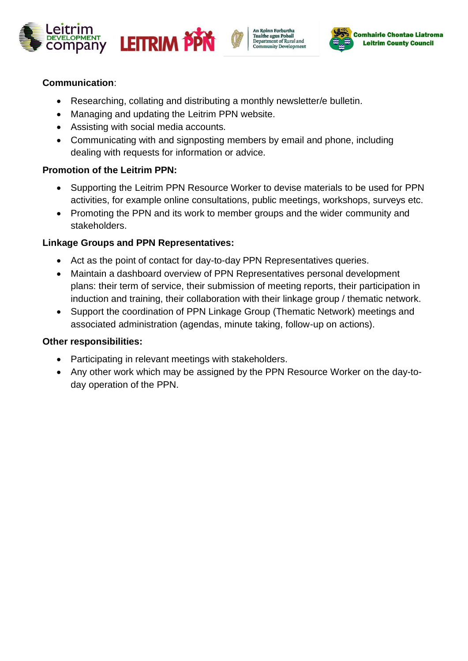





### **Communication**:

- Researching, collating and distributing a monthly newsletter/e bulletin.
- Managing and updating the Leitrim PPN website.
- Assisting with social media accounts.
- Communicating with and signposting members by email and phone, including dealing with requests for information or advice.

#### **Promotion of the Leitrim PPN:**

- Supporting the Leitrim PPN Resource Worker to devise materials to be used for PPN activities, for example online consultations, public meetings, workshops, surveys etc.
- Promoting the PPN and its work to member groups and the wider community and stakeholders.

#### **Linkage Groups and PPN Representatives:**

- Act as the point of contact for day-to-day PPN Representatives queries.
- Maintain a dashboard overview of PPN Representatives personal development plans: their term of service, their submission of meeting reports, their participation in induction and training, their collaboration with their linkage group / thematic network.
- Support the coordination of PPN Linkage Group (Thematic Network) meetings and associated administration (agendas, minute taking, follow-up on actions).

#### **Other responsibilities:**

- Participating in relevant meetings with stakeholders.
- Any other work which may be assigned by the PPN Resource Worker on the day-today operation of the PPN.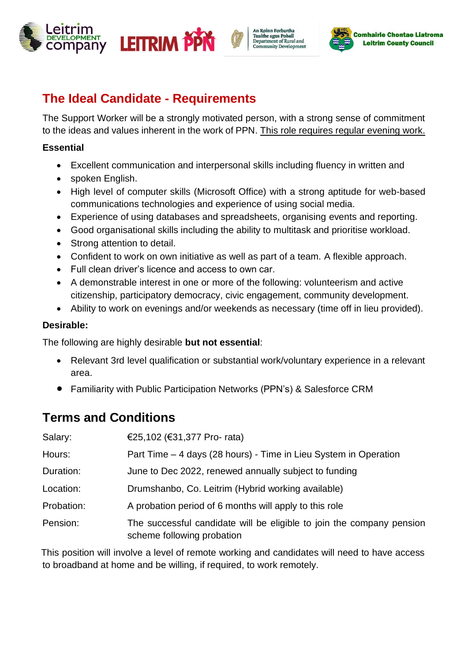





## **The Ideal Candidate - Requirements**

The Support Worker will be a strongly motivated person, with a strong sense of commitment to the ideas and values inherent in the work of PPN. This role requires regular evening work.

### **Essential**

- Excellent communication and interpersonal skills including fluency in written and
- spoken English.
- High level of computer skills (Microsoft Office) with a strong aptitude for web-based communications technologies and experience of using social media.
- Experience of using databases and spreadsheets, organising events and reporting.
- Good organisational skills including the ability to multitask and prioritise workload.
- Strong attention to detail.
- Confident to work on own initiative as well as part of a team. A flexible approach.
- Full clean driver's licence and access to own car.
- A demonstrable interest in one or more of the following: volunteerism and active citizenship, participatory democracy, civic engagement, community development.
- Ability to work on evenings and/or weekends as necessary (time off in lieu provided).

### **Desirable:**

The following are highly desirable **but not essential**:

- Relevant 3rd level qualification or substantial work/voluntary experience in a relevant area.
- Familiarity with Public Participation Networks (PPN's) & Salesforce CRM

## **Terms and Conditions**

| Salary:    | €25,102 (€31,377 Pro- rata)                                                                         |
|------------|-----------------------------------------------------------------------------------------------------|
| Hours:     | Part Time – 4 days (28 hours) - Time in Lieu System in Operation                                    |
| Duration:  | June to Dec 2022, renewed annually subject to funding                                               |
| Location:  | Drumshanbo, Co. Leitrim (Hybrid working available)                                                  |
| Probation: | A probation period of 6 months will apply to this role                                              |
| Pension:   | The successful candidate will be eligible to join the company pension<br>scheme following probation |

This position will involve a level of remote working and candidates will need to have access to broadband at home and be willing, if required, to work remotely.